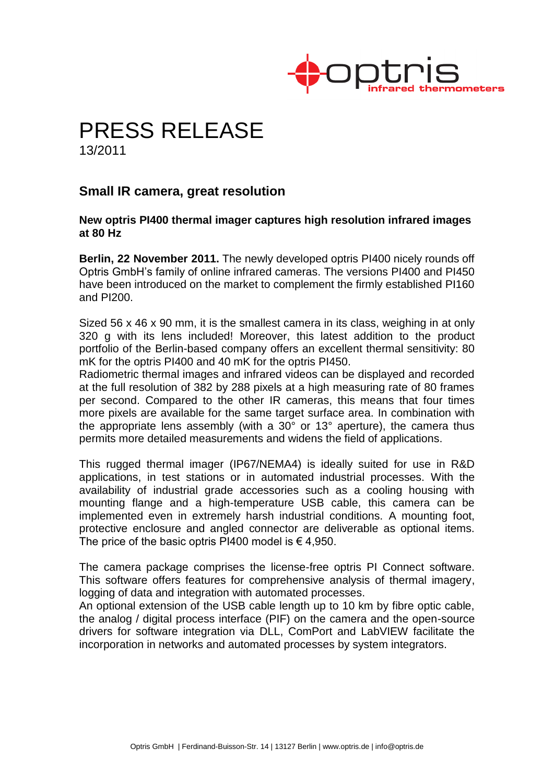

# PRESS RELEASE

13/2011

# **Small IR camera, great resolution**

## **New optris PI400 thermal imager captures high resolution infrared images at 80 Hz**

**Berlin, 22 November 2011.** The newly developed optris PI400 nicely rounds off Optris GmbH's family of online infrared cameras. The versions PI400 and PI450 have been introduced on the market to complement the firmly established PI160 and PI200.

Sized 56 x 46 x 90 mm, it is the smallest camera in its class, weighing in at only 320 g with its lens included! Moreover, this latest addition to the product portfolio of the Berlin-based company offers an excellent thermal sensitivity: 80 mK for the optris PI400 and 40 mK for the optris PI450.

Radiometric thermal images and infrared videos can be displayed and recorded at the full resolution of 382 by 288 pixels at a high measuring rate of 80 frames per second. Compared to the other IR cameras, this means that four times more pixels are available for the same target surface area. In combination with the appropriate lens assembly (with a 30° or 13° aperture), the camera thus permits more detailed measurements and widens the field of applications.

This rugged thermal imager (IP67/NEMA4) is ideally suited for use in R&D applications, in test stations or in automated industrial processes. With the availability of industrial grade accessories such as a cooling housing with mounting flange and a high-temperature USB cable, this camera can be implemented even in extremely harsh industrial conditions. A mounting foot, protective enclosure and angled connector are deliverable as optional items. The price of the basic optris PI400 model is  $\epsilon$  4,950.

The camera package comprises the license-free optris PI Connect software. This software offers features for comprehensive analysis of thermal imagery, logging of data and integration with automated processes.

An optional extension of the USB cable length up to 10 km by fibre optic cable, the analog / digital process interface (PIF) on the camera and the open-source drivers for software integration via DLL, ComPort and LabVIEW facilitate the incorporation in networks and automated processes by system integrators.